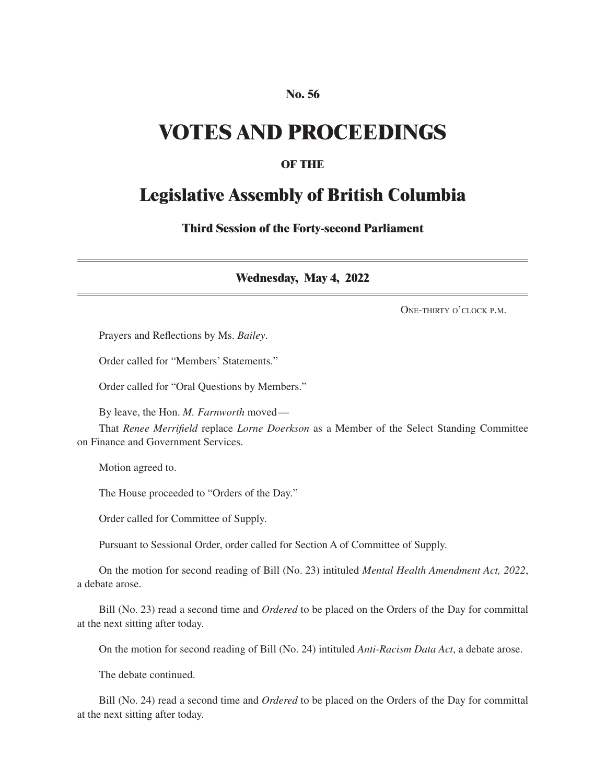#### **No. 56**

## **VOTES AND PROCEEDINGS**

#### **OF THE**

### **Legislative Assembly of British Columbia**

**Third Session of the Forty-second Parliament**

**Wednesday, May 4, 2022**

One-thirty o'clock p.m.

Prayers and Reflections by Ms. *Bailey*.

Order called for "Members' Statements."

Order called for "Oral Questions by Members."

By leave, the Hon. *M. Farnworth* moved—

That *Renee Merrifield* replace *Lorne Doerkson* as a Member of the Select Standing Committee on Finance and Government Services.

Motion agreed to.

The House proceeded to "Orders of the Day."

Order called for Committee of Supply.

Pursuant to Sessional Order, order called for Section A of Committee of Supply.

On the motion for second reading of Bill (No. 23) intituled *Mental Health Amendment Act, 2022*, a debate arose.

Bill (No. 23) read a second time and *Ordered* to be placed on the Orders of the Day for committal at the next sitting after today.

On the motion for second reading of Bill (No. 24) intituled *Anti-Racism Data Act*, a debate arose.

The debate continued.

Bill (No. 24) read a second time and *Ordered* to be placed on the Orders of the Day for committal at the next sitting after today.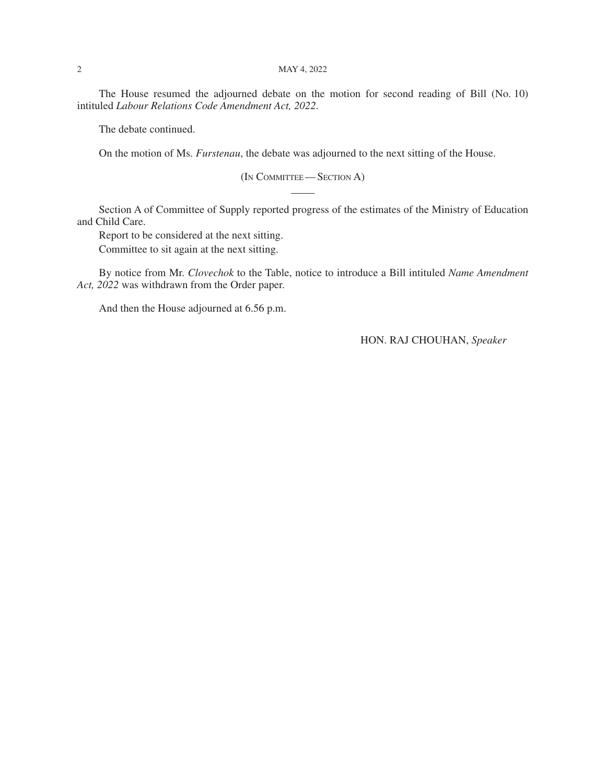The House resumed the adjourned debate on the motion for second reading of Bill (No. 10) intituled *Labour Relations Code Amendment Act, 2022*.

The debate continued.

On the motion of Ms. *Furstenau*, the debate was adjourned to the next sitting of the House.

(In Committee—Section A)

Section A of Committee of Supply reported progress of the estimates of the Ministry of Education and Child Care.

Report to be considered at the next sitting.

Committee to sit again at the next sitting.

By notice from Mr. *Clovechok* to the Table, notice to introduce a Bill intituled *Name Amendment Act, 2022* was withdrawn from the Order paper.

And then the House adjourned at 6.56 p.m.

HON. RAJ CHOUHAN, *Speaker*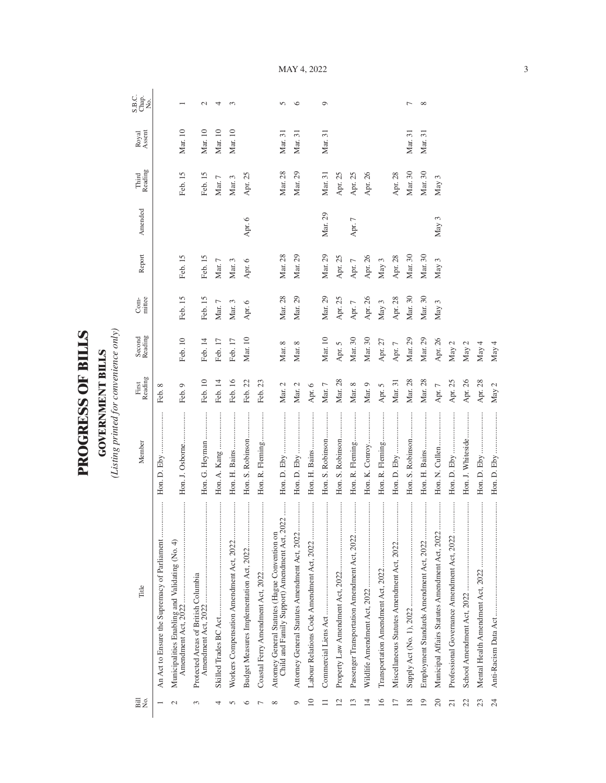| $\mathbf \zeta$<br>ŗ<br>Ē |  |
|---------------------------|--|
| ŀ<br>Ï                    |  |
| C<br>C<br>F<br>ŗ,         |  |
|                           |  |

**GOVERNMENT BILLS**<br>(Listing printed for convenience only) *(Listing printed for convenience only)*

**GOVERNMENT BILLS**

| Bill<br>N⊙.     | Title                                                                                           | Member            | First<br>Reading | Second<br>Reading | $Com-$     | Report     | Amended          | Reading<br>Third | Royal<br>Assent | S.B.C.<br>Chap.<br>No. |
|-----------------|-------------------------------------------------------------------------------------------------|-------------------|------------------|-------------------|------------|------------|------------------|------------------|-----------------|------------------------|
|                 | An Act to Ensure the Supremacy of Parliament                                                    |                   | Feb. 8           |                   |            |            |                  |                  |                 |                        |
| $\sim$          | <br>Municipalities Enabling and Validating (No. 4)<br>Amendment Act, 2022                       | Hon. J. Osborne   | Feb. 9           | Feb. 10           | Feb. 15    | Feb. 15    |                  | Feb. 15          | Mar. 10         |                        |
| 3               | Protected Areas of British Columbia<br>Amendment Act, 2022                                      | Hon. G. Heyman    | Feb. 10          | Feb. 14           | Feb. 15    | Feb. 15    |                  | Feb. 15          | $\rm{Mar.}\,10$ | $\mathbf{C}$           |
| 4               | $\cdots \cdots \cdots \cdots$                                                                   |                   | Feb. 14          | Feb. 17           | Mar. $7\,$ | Mar. $7\,$ |                  | Mar. $7$         | Mar. 10         | 4                      |
|                 |                                                                                                 |                   | Feb. 16          | Feb. 17           | Mar. 3     | Mar. 3     |                  | Mar. 3           | Mar. 10         | S                      |
| ≌               | Budget Measures Implementation Act, 2022                                                        | Hon. S. Robinson  | Feb. 22          | Mar. 10           | Apr. 6     | Apr. 6     | Apr. 6           | Apr. 25          |                 |                        |
|                 |                                                                                                 | Hon. R. Fleming   | Feb. 23          |                   |            |            |                  |                  |                 |                        |
| $\infty$        | Child and Family Support) Amendment Act, 2022<br>Attorney General Statutes (Hague Convention on |                   | Mar. 2           | Mar. 8            | Mar. 28    | Mar. 28    |                  | Mar. 28          | Mar. 31         | $\sqrt{2}$             |
| σ               | Attorney General Statutes Amendment Act, 2022                                                   |                   | Mar. 2           | Mar. 8            | Mar. 29    | Mar. 29    |                  | Mar. 29          | Mar. 31         | ৩                      |
| $\overline{10}$ | <br>Labour Relations Code Amendment Act, 2022                                                   | Hon. H. Bains     | Apr. $6\,$       |                   |            |            |                  |                  |                 |                        |
|                 |                                                                                                 | Hon. S. Robinson  | Mar. $7$         | Mar. 10           | Mar. 29    | Mar. 29    | Mar. 29          | Mar. 31          | Mar. 31         | $\circ$                |
| $\mathbf{C}$    |                                                                                                 | Hon. S. Robinson  | Mar. 28          | Apr. 5            | Apr. 25    | Apr. 25    |                  | Apr. 25          |                 |                        |
| ൗ               | Passenger Transportation Amendment Act, 2022                                                    | Hon. R. Fleming   | Mar. 8           | Mar. 30           | Apr. $7$   | Apr. $7$   | Apr. 7           | Apr. 25          |                 |                        |
| $\overline{14}$ |                                                                                                 | Hon. K. Conroy    | Mar. 9           | Mar. 30           | Apr. 26    | Apr. 26    |                  | Apr. 26          |                 |                        |
| $\overline{16}$ |                                                                                                 | Hon. R. Fleming   | Apr. $5$         | Apr. 27           | May $3$    | May 3      |                  |                  |                 |                        |
| $\overline{1}$  |                                                                                                 | Hon. D. Eby       | Mar. 31          | Apr. $7\,$        | Apr. 28    | Apr. 28    |                  | Apr. 28          |                 |                        |
| 18              |                                                                                                 | Hon. S. Robinson  | Mar. 28          | Mar. 29           | Mar. 30    | Mar. 30    |                  | Mar. 30          | Mar. 31         | ∼                      |
| 19              |                                                                                                 |                   | Mar. 28          | Mar. 29           | Mar. 30    | Mar. 30    |                  | Mar. 30          | Mar. 31         | $\infty$               |
| 20              | Municipal Affairs Statutes Amendment Act, 2022                                                  |                   | Apr. $7\,$       | Apr. 26           | May 3      | May 3      | May <sub>3</sub> | May 3            |                 |                        |
| ಸ               | Professional Governance Amendment Act, 2022                                                     | <br>Hon. D. Eby   | Apr. 25          | May 2             |            |            |                  |                  |                 |                        |
| 22              |                                                                                                 | Hon. J. Whiteside | Apr. 26          | May 2             |            |            |                  |                  |                 |                        |
| 23              |                                                                                                 |                   | Apr. 28          | May 4             |            |            |                  |                  |                 |                        |
| 24              |                                                                                                 |                   | May $2$          | May 4             |            |            |                  |                  |                 |                        |

MAY 4, 2022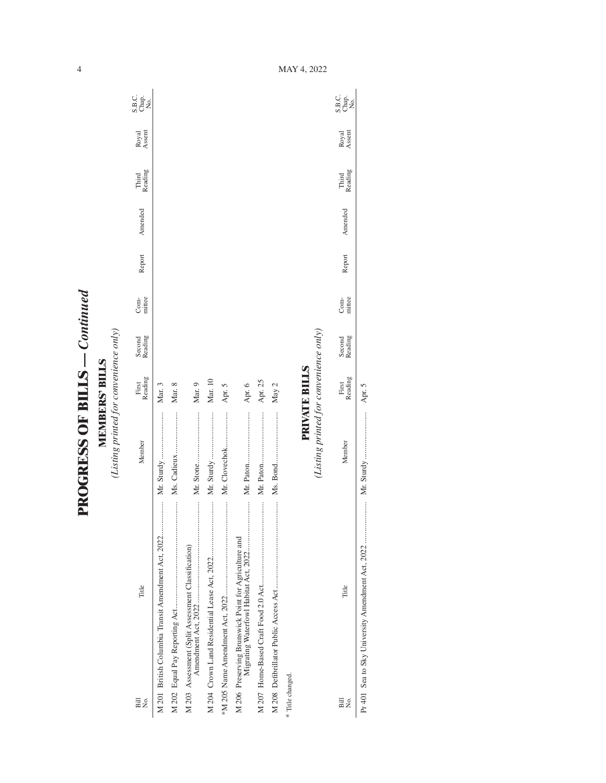**PROGRESS OF BILLS - Continued PROGRESS OF BILLS** *— Continued*

4

**MEMBERS' BILLS**<br>(Listing printed for convenience only) *(Listing printed for convenience only)* **MEMBERS' BILLS**

| Bill<br>Σó,      | Title                                              | Member                                 | First<br>Reading     | Second<br>Reading | mittee<br>Com- | Report | Amended | Third<br>Reading | Royal<br>Assent | C<br>SH <sub>O</sub><br>SH <sub>O</sub> |
|------------------|----------------------------------------------------|----------------------------------------|----------------------|-------------------|----------------|--------|---------|------------------|-----------------|-----------------------------------------|
|                  | M 201 British Columbia Transit Amendment Act, 2022 |                                        | Mar. 3               |                   |                |        |         |                  |                 |                                         |
|                  |                                                    | Ms. Cadieux                            | Mar. 8               |                   |                |        |         |                  |                 |                                         |
|                  | M 203 Assessment (Split Assessment Classification) |                                        | Mar. 9               |                   |                |        |         |                  |                 |                                         |
|                  |                                                    | Mr. Sturdy                             | Mar. 10              |                   |                |        |         |                  |                 |                                         |
|                  |                                                    | Mr. Clovechok                          | Apr. 5               |                   |                |        |         |                  |                 |                                         |
|                  |                                                    |                                        | Apr. 6               |                   |                |        |         |                  |                 |                                         |
|                  |                                                    |                                        | Apr. 25              |                   |                |        |         |                  |                 |                                         |
|                  |                                                    |                                        | May 2                |                   |                |        |         |                  |                 |                                         |
| * Title changed. |                                                    |                                        |                      |                   |                |        |         |                  |                 |                                         |
|                  |                                                    |                                        | <b>PRIVATE BILLS</b> |                   |                |        |         |                  |                 |                                         |
|                  |                                                    | (Listing printed for convenience only) |                      |                   |                |        |         |                  |                 |                                         |
| Bill<br>Σó       | Title                                              | Member                                 | Reading<br>First     | Second<br>Reading | Com-<br>mittee | Report | Amended | Third<br>Reading | Royal<br>Assent | C<br>Sago<br>Sago                       |

Pr 401 Sea to Sky University Amendment Act, 2022 ..................... Mr. Sturdy ........................ Apr. 5

 $\overline{\phantom{a}}$ 

MAY 4, 2022